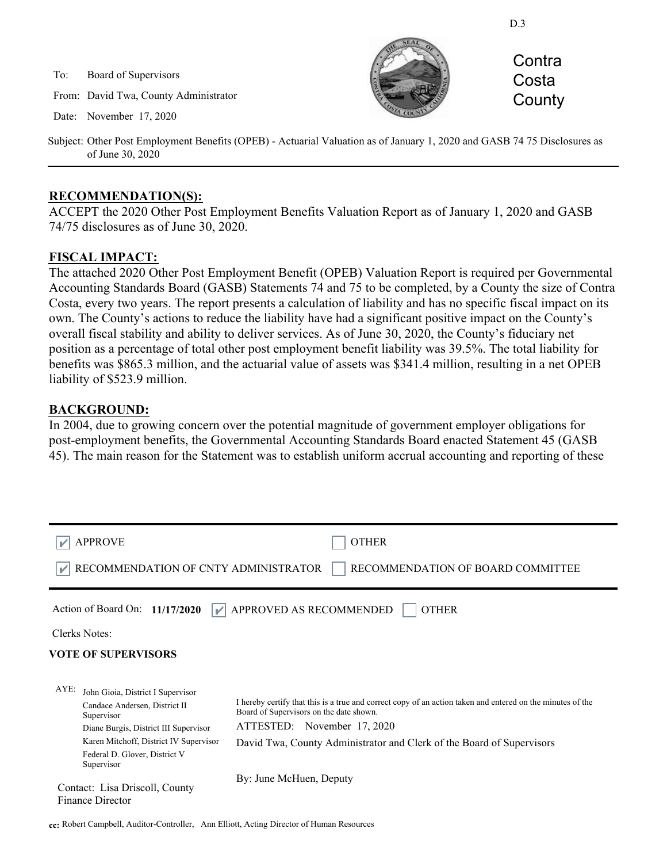D.3

To: Board of Supervisors

From: David Twa, County Administrator

Date: November 17, 2020



**Contra Costa County** 

Subject: Other Post Employment Benefits (OPEB) - Actuarial Valuation as of January 1, 2020 and GASB 74 75 Disclosures as of June 30, 2020

#### **RECOMMENDATION(S):**

ACCEPT the 2020 Other Post Employment Benefits Valuation Report as of January 1, 2020 and GASB 74/75 disclosures as of June 30, 2020.

## **FISCAL IMPACT:**

The attached 2020 Other Post Employment Benefit (OPEB) Valuation Report is required per Governmental Accounting Standards Board (GASB) Statements 74 and 75 to be completed, by a County the size of Contra Costa, every two years. The report presents a calculation of liability and has no specific fiscal impact on its own. The County's actions to reduce the liability have had a significant positive impact on the County's overall fiscal stability and ability to deliver services. As of June 30, 2020, the County's fiduciary net position as a percentage of total other post employment benefit liability was 39.5%. The total liability for benefits was \$865.3 million, and the actuarial value of assets was \$341.4 million, resulting in a net OPEB liability of \$523.9 million.

## **BACKGROUND:**

In 2004, due to growing concern over the potential magnitude of government employer obligations for post-employment benefits, the Governmental Accounting Standards Board enacted Statement 45 (GASB 45). The main reason for the Statement was to establish uniform accrual accounting and reporting of these

| <b>APPROVE</b><br>RECOMMENDATION OF CNTY ADMINISTRATOR                                                                                                                                                                     | <b>OTHER</b><br>RECOMMENDATION OF BOARD COMMITTEE                                                                                                                                                                                                             |
|----------------------------------------------------------------------------------------------------------------------------------------------------------------------------------------------------------------------------|---------------------------------------------------------------------------------------------------------------------------------------------------------------------------------------------------------------------------------------------------------------|
| Action of Board On: $11/17/2020$<br>$\mathbf{v}$<br>Clerks Notes:<br><b>VOTE OF SUPERVISORS</b>                                                                                                                            | APPROVED AS RECOMMENDED<br><b>OTHER</b>                                                                                                                                                                                                                       |
| AYE:<br>John Gioia, District I Supervisor<br>Candace Andersen, District II<br>Supervisor<br>Diane Burgis, District III Supervisor<br>Karen Mitchoff, District IV Supervisor<br>Federal D. Glover, District V<br>Supervisor | I hereby certify that this is a true and correct copy of an action taken and entered on the minutes of the<br>Board of Supervisors on the date shown.<br>ATTESTED: November 17, 2020<br>David Twa, County Administrator and Clerk of the Board of Supervisors |
| Contact: Lisa Driscoll, County<br>Finance Director                                                                                                                                                                         | By: June McHuen, Deputy                                                                                                                                                                                                                                       |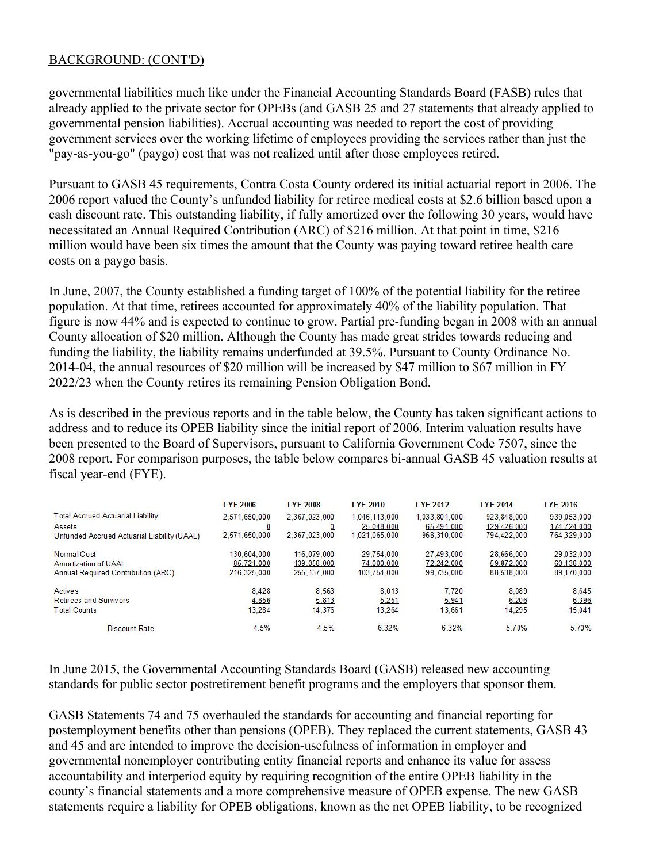## BACKGROUND: (CONT'D)

governmental liabilities much like under the Financial Accounting Standards Board (FASB) rules that already applied to the private sector for OPEBs (and GASB 25 and 27 statements that already applied to governmental pension liabilities). Accrual accounting was needed to report the cost of providing government services over the working lifetime of employees providing the services rather than just the "pay-as-you-go" (paygo) cost that was not realized until after those employees retired.

Pursuant to GASB 45 requirements, Contra Costa County ordered its initial actuarial report in 2006. The 2006 report valued the County's unfunded liability for retiree medical costs at \$2.6 billion based upon a cash discount rate. This outstanding liability, if fully amortized over the following 30 years, would have necessitated an Annual Required Contribution (ARC) of \$216 million. At that point in time, \$216 million would have been six times the amount that the County was paying toward retiree health care costs on a paygo basis.

In June, 2007, the County established a funding target of 100% of the potential liability for the retiree population. At that time, retirees accounted for approximately 40% of the liability population. That figure is now 44% and is expected to continue to grow. Partial pre-funding began in 2008 with an annual County allocation of \$20 million. Although the County has made great strides towards reducing and funding the liability, the liability remains underfunded at 39.5%. Pursuant to County Ordinance No. 2014-04, the annual resources of \$20 million will be increased by \$47 million to \$67 million in FY 2022/23 when the County retires its remaining Pension Obligation Bond.

As is described in the previous reports and in the table below, the County has taken significant actions to address and to reduce its OPEB liability since the initial report of 2006. Interim valuation results have been presented to the Board of Supervisors, pursuant to California Government Code 7507, since the 2008 report. For comparison purposes, the table below compares bi-annual GASB 45 valuation results at fiscal year-end (FYE).

|                                             | <b>FYE 2006</b> | <b>FYE 2008</b> | <b>FYE 2010</b> | <b>FYE 2012</b> | <b>FYE 2014</b> | <b>FYE 2016</b> |
|---------------------------------------------|-----------------|-----------------|-----------------|-----------------|-----------------|-----------------|
| Total Accrued Actuarial Liability           | 2,571,650,000   | 2,367,023,000   | 1.046.113.000   | 1.033.801.000   | 923.848.000     | 939.053.000     |
| Assets                                      |                 |                 | 25.048.000      | 65,491,000      | 129.426.000     | 174,724,000     |
| Unfunded Accrued Actuarial Liability (UAAL) | 2.571.650.000   | 2.367.023.000   | 1.021.065.000   | 968.310.000     | 794,422,000     | 764.329.000     |
| Normal Cost                                 | 130.604.000     | 116.079.000     | 29.754.000      | 27,493,000      | 28,666,000      | 29.032.000      |
| Amortization of UAAL                        | 85,721,000      | 139.058.000     | 74,000,000      | 72,242,000      | 59.872.000      | 60,138,000      |
| Annual Required Contribution (ARC)          | 216.325.000     | 255.137.000     | 103.754.000     | 99.735.000      | 88.538.000      | 89,170,000      |
| <b>Actives</b>                              | 8.428           | 8.563           | 8.013           | 7.720           | 8.089           | 8.645           |
| <b>Retirees and Survivors</b>               | 4.856           | 5.813           | 5.251           | 5.941           | 6.206           | 6.396           |
| <b>Total Counts</b>                         | 13.284          | 14.376          | 13.264          | 13.661          | 14.295          | 15.041          |
| Discount Rate                               | 4.5%            | 4.5%            | 6.32%           | 6.32%           | 570%            | 5.70%           |

In June 2015, the Governmental Accounting Standards Board (GASB) released new accounting standards for public sector postretirement benefit programs and the employers that sponsor them.

GASB Statements 74 and 75 overhauled the standards for accounting and financial reporting for postemployment benefits other than pensions (OPEB). They replaced the current statements, GASB 43 and 45 and are intended to improve the decision-usefulness of information in employer and governmental nonemployer contributing entity financial reports and enhance its value for assess accountability and interperiod equity by requiring recognition of the entire OPEB liability in the county's financial statements and a more comprehensive measure of OPEB expense. The new GASB statements require a liability for OPEB obligations, known as the net OPEB liability, to be recognized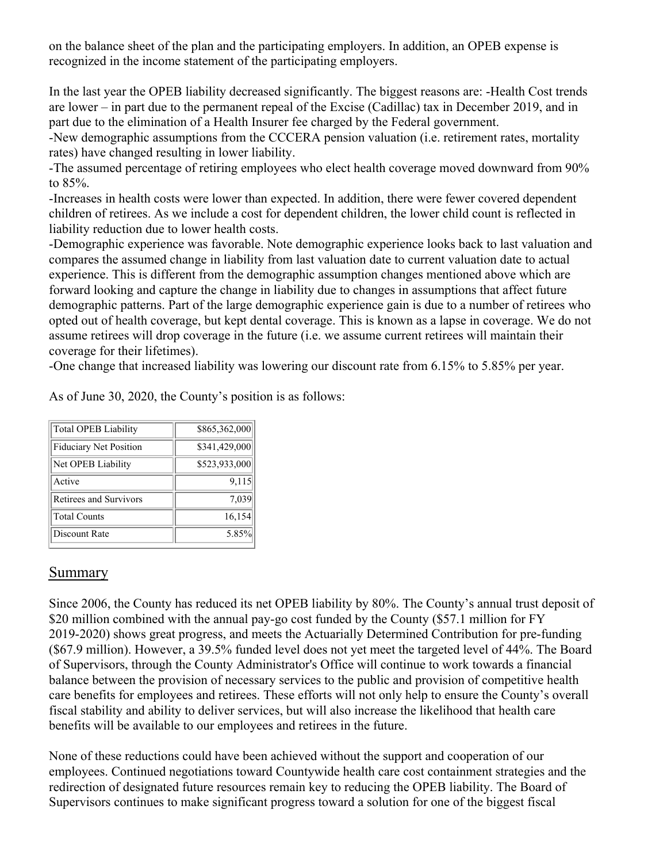on the balance sheet of the plan and the participating employers. In addition, an OPEB expense is recognized in the income statement of the participating employers.

In the last year the OPEB liability decreased significantly. The biggest reasons are: -Health Cost trends are lower – in part due to the permanent repeal of the Excise (Cadillac) tax in December 2019, and in part due to the elimination of a Health Insurer fee charged by the Federal government.

-New demographic assumptions from the CCCERA pension valuation (i.e. retirement rates, mortality rates) have changed resulting in lower liability.

-The assumed percentage of retiring employees who elect health coverage moved downward from 90% to 85%.

-Increases in health costs were lower than expected. In addition, there were fewer covered dependent children of retirees. As we include a cost for dependent children, the lower child count is reflected in liability reduction due to lower health costs.

-Demographic experience was favorable. Note demographic experience looks back to last valuation and compares the assumed change in liability from last valuation date to current valuation date to actual experience. This is different from the demographic assumption changes mentioned above which are forward looking and capture the change in liability due to changes in assumptions that affect future demographic patterns. Part of the large demographic experience gain is due to a number of retirees who opted out of health coverage, but kept dental coverage. This is known as a lapse in coverage. We do not assume retirees will drop coverage in the future (i.e. we assume current retirees will maintain their coverage for their lifetimes).

-One change that increased liability was lowering our discount rate from 6.15% to 5.85% per year.

As of June 30, 2020, the County's position is as follows:

| Total OPEB Liability   | \$865,362,000 |  |  |
|------------------------|---------------|--|--|
| Fiduciary Net Position | \$341,429,000 |  |  |
| Net OPEB Liability     | \$523,933,000 |  |  |
| Active                 | 9,115         |  |  |
| Retirees and Survivors | 7,039         |  |  |
| Total Counts           | 16,154        |  |  |
| Discount Rate          | 5.85%         |  |  |

# Summary

Since 2006, the County has reduced its net OPEB liability by 80%. The County's annual trust deposit of \$20 million combined with the annual pay-go cost funded by the County (\$57.1 million for FY 2019-2020) shows great progress, and meets the Actuarially Determined Contribution for pre-funding (\$67.9 million). However, a 39.5% funded level does not yet meet the targeted level of 44%. The Board of Supervisors, through the County Administrator's Office will continue to work towards a financial balance between the provision of necessary services to the public and provision of competitive health care benefits for employees and retirees. These efforts will not only help to ensure the County's overall fiscal stability and ability to deliver services, but will also increase the likelihood that health care benefits will be available to our employees and retirees in the future.

None of these reductions could have been achieved without the support and cooperation of our employees. Continued negotiations toward Countywide health care cost containment strategies and the redirection of designated future resources remain key to reducing the OPEB liability. The Board of Supervisors continues to make significant progress toward a solution for one of the biggest fiscal